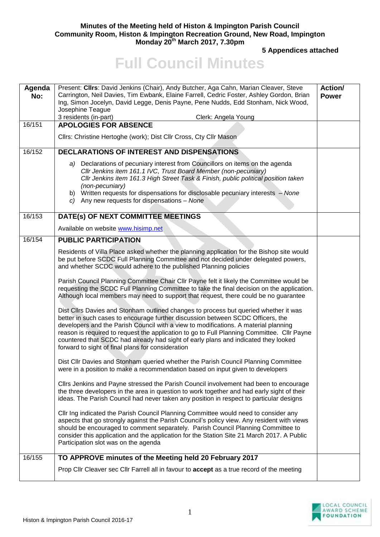## **Minutes of the Meeting held of Histon & Impington Parish Council Community Room, Histon & Impington Recreation Ground, New Road, Impington Monday 20th March 2017, 7.30pm**

**5 Appendices attached** 

## **Full Council Minutes**

| Agenda<br>No: | Present: Cllrs: David Jenkins (Chair), Andy Butcher, Aga Cahn, Marian Cleaver, Steve<br>Carrington, Neil Davies, Tim Ewbank, Elaine Farrell, Cedric Foster, Ashley Gordon, Brian<br>Ing, Simon Jocelyn, David Legge, Denis Payne, Pene Nudds, Edd Stonham, Nick Wood,<br>Josephine Teague<br>3 residents (in-part)<br>Clerk: Angela Young                                                                                                                                                               | <b>Action/</b><br><b>Power</b> |
|---------------|---------------------------------------------------------------------------------------------------------------------------------------------------------------------------------------------------------------------------------------------------------------------------------------------------------------------------------------------------------------------------------------------------------------------------------------------------------------------------------------------------------|--------------------------------|
| 16/151        | <b>APOLOGIES FOR ABSENCE</b>                                                                                                                                                                                                                                                                                                                                                                                                                                                                            |                                |
|               | Cllrs: Christine Hertoghe (work); Dist Cllr Cross, Cty Cllr Mason                                                                                                                                                                                                                                                                                                                                                                                                                                       |                                |
| 16/152        | DECLARATIONS OF INTEREST AND DISPENSATIONS                                                                                                                                                                                                                                                                                                                                                                                                                                                              |                                |
|               | a) Declarations of pecuniary interest from Councillors on items on the agenda<br>Cllr Jenkins item 161.1 IVC, Trust Board Member (non-pecuniary)<br>CIIr Jenkins item 161.3 High Street Task & Finish, public political position taken<br>(non-pecuniary)<br>b) Written requests for dispensations for disclosable pecuniary interests - None<br>c) Any new requests for dispensations $-$ None                                                                                                         |                                |
| 16/153        | DATE(s) OF NEXT COMMITTEE MEETINGS                                                                                                                                                                                                                                                                                                                                                                                                                                                                      |                                |
|               | Available on website www.hisimp.net                                                                                                                                                                                                                                                                                                                                                                                                                                                                     |                                |
| 16/154        | <b>PUBLIC PARTICIPATION</b>                                                                                                                                                                                                                                                                                                                                                                                                                                                                             |                                |
|               | Residents of Villa Place asked whether the planning application for the Bishop site would<br>be put before SCDC Full Planning Committee and not decided under delegated powers,<br>and whether SCDC would adhere to the published Planning policies                                                                                                                                                                                                                                                     |                                |
|               | Parish Council Planning Committee Chair Cllr Payne felt it likely the Committee would be<br>requesting the SCDC Full Planning Committee to take the final decision on the application.<br>Although local members may need to support that request, there could be no guarantee                                                                                                                                                                                                                          |                                |
|               | Dist Cllrs Davies and Stonham outlined changes to process but queried whether it was<br>better in such cases to encourage further discussion between SCDC Officers, the<br>developers and the Parish Council with a view to modifications. A material planning<br>reason is required to request the application to go to Full Planning Committee. Cllr Payne<br>countered that SCDC had already had sight of early plans and indicated they looked<br>forward to sight of final plans for consideration |                                |
|               | Dist Cllr Davies and Stonham queried whether the Parish Council Planning Committee<br>were in a position to make a recommendation based on input given to developers                                                                                                                                                                                                                                                                                                                                    |                                |
|               | Cllrs Jenkins and Payne stressed the Parish Council involvement had been to encourage<br>the three developers in the area in question to work together and had early sight of their<br>ideas. The Parish Council had never taken any position in respect to particular designs                                                                                                                                                                                                                          |                                |
|               | CIIr Ing indicated the Parish Council Planning Committee would need to consider any<br>aspects that go strongly against the Parish Council's policy view. Any resident with views<br>should be encouraged to comment separately. Parish Council Planning Committee to<br>consider this application and the application for the Station Site 21 March 2017. A Public<br>Participation slot was on the agenda                                                                                             |                                |
| 16/155        | TO APPROVE minutes of the Meeting held 20 February 2017                                                                                                                                                                                                                                                                                                                                                                                                                                                 |                                |
|               | Prop ClIr Cleaver sec ClIr Farrell all in favour to <b>accept</b> as a true record of the meeting                                                                                                                                                                                                                                                                                                                                                                                                       |                                |

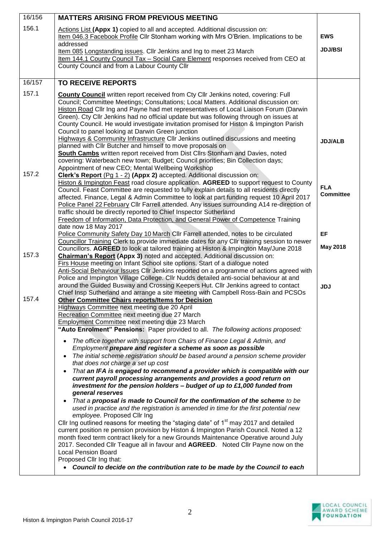| 156.1<br>Actions List (Appx 1) copied to all and accepted. Additional discussion on:<br>Item 046.3 Facebook Profile Cllr Stonham working with Mrs O'Brien. Implications to be<br><b>EWS</b><br>addressed<br><b>JDJ/BSI</b><br>Item 085 Longstanding issues. Cllr Jenkins and Ing to meet 23 March<br>Item 144.1 County Council Tax - Social Care Element responses received from CEO at<br>County Council and from a Labour County Cllr<br>16/157<br><b>TO RECEIVE REPORTS</b><br>157.1<br>County Council written report received from Cty Cllr Jenkins noted, covering: Full<br>Council; Committee Meetings; Consultations; Local Matters. Additional discussion on:<br>Histon Road Cllr Ing and Payne had met representatives of Local Liaison Forum (Darwin<br>Green). Cty Cllr Jenkins had no official update but was following through on issues at<br>County Council. He would investigate invitation promised for Histon & Impington Parish<br>Council to panel looking at Darwin Green junction<br>Highways & Community Infrastructure CIIr Jenkins outlined discussions and meeting<br><b>JDJ/ALB</b><br>planned with Cllr Butcher and himself to move proposals on<br><b>South Cambs</b> written report received from Dist Cllrs Stonham and Davies, noted<br>covering: Waterbeach new town; Budget; Council priorities; Bin Collection days;<br>Appointment of new CEO; Mental Wellbeing Workshop<br>157.2<br>Clerk's Report (Pg 1 - 2) (Appx 2) accepted. Additional discussion on:<br>Histon & Impington Feast road closure application. AGREED to support request to County<br><b>FLA</b><br>Council. Feast Committee are requested to fully explain details to all residents directly<br><b>Committee</b><br>affected. Finance, Legal & Admin Committee to look at part funding request 10 April 2017<br>Police Panel 22 February Cllr Farrell attended. Any issues surrounding A14 re-direction of<br>traffic should be directly reported to Chief Inspector Sutherland<br>Freedom of Information, Data Protection, and General Power of Competence Training<br>date now 18 May 2017<br>Police Community Safety Day 10 March Cllr Farrell attended, notes to be circulated<br>EF<br>Councillor Training Clerk to provide immediate dates for any Cllr training session to newer<br><b>May 2018</b><br>Councillors. AGREED to look at tailored training at Histon & Impington May/June 2018<br>157.3<br>Chairman's Report (Appx 3) noted and accepted. Additional discussion on:<br>Firs House meeting on Infant School site options. Start of a dialogue noted<br>Anti-Social Behaviour Issues Cllr Jenkins reported on a programme of actions agreed with<br>Police and Impington Village College. Cllr Nudds detailed anti-social behaviour at and<br>around the Guided Busway and Crossing Keepers Hut. Cllr Jenkins agreed to contact<br><b>JDJ</b><br>Chief Insp Sutherland and arrange a site meeting with Campbell Ross-Bain and PCSOs<br>157.4<br><b>Other Committee Chairs reports/Items for Decision</b><br>Highways Committee next meeting due 20 April<br>Recreation Committee next meeting due 27 March<br>Employment Committee next meeting due 23 March<br>"Auto Enrolment" Pensions: Paper provided to all. The following actions proposed:<br>The office together with support from Chairs of Finance Legal & Admin, and<br>Employment prepare and register a scheme as soon as possible<br>The initial scheme registration should be based around a pension scheme provider<br>that does not charge a set up cost<br>That an IFA is engaged to recommend a provider which is compatible with our<br>current payroll processing arrangements and provides a good return on<br>investment for the pension holders - budget of up to £1,000 funded from<br>general reserves<br>That a proposal is made to Council for the confirmation of the scheme to be<br>used in practice and the registration is amended in time for the first potential new<br>employee. Proposed Cllr Ing<br>Cllr Ing outlined reasons for meeting the "staging date" of 1 <sup>st</sup> may 2017 and detailed<br>current position re pension provision by Histon & Impington Parish Council. Noted a 12<br>month fixed term contract likely for a new Grounds Maintenance Operative around July<br>2017. Seconded Cllr Teague all in favour and AGREED. Noted Cllr Payne now on the<br><b>Local Pension Board</b><br>Proposed Cllr Ing that:<br>Council to decide on the contribution rate to be made by the Council to each | 16/156 | <b>MATTERS ARISING FROM PREVIOUS MEETING</b> |  |
|--------------------------------------------------------------------------------------------------------------------------------------------------------------------------------------------------------------------------------------------------------------------------------------------------------------------------------------------------------------------------------------------------------------------------------------------------------------------------------------------------------------------------------------------------------------------------------------------------------------------------------------------------------------------------------------------------------------------------------------------------------------------------------------------------------------------------------------------------------------------------------------------------------------------------------------------------------------------------------------------------------------------------------------------------------------------------------------------------------------------------------------------------------------------------------------------------------------------------------------------------------------------------------------------------------------------------------------------------------------------------------------------------------------------------------------------------------------------------------------------------------------------------------------------------------------------------------------------------------------------------------------------------------------------------------------------------------------------------------------------------------------------------------------------------------------------------------------------------------------------------------------------------------------------------------------------------------------------------------------------------------------------------------------------------------------------------------------------------------------------------------------------------------------------------------------------------------------------------------------------------------------------------------------------------------------------------------------------------------------------------------------------------------------------------------------------------------------------------------------------------------------------------------------------------------------------------------------------------------------------------------------------------------------------------------------------------------------------------------------------------------------------------------------------------------------------------------------------------------------------------------------------------------------------------------------------------------------------------------------------------------------------------------------------------------------------------------------------------------------------------------------------------------------------------------------------------------------------------------------------------------------------------------------------------------------------------------------------------------------------------------------------------------------------------------------------------------------------------------------------------------------------------------------------------------------------------------------------------------------------------------------------------------------------------------------------------------------------------------------------------------------------------------------------------------------------------------------------------------------------------------------------------------------------------------------------------------------------------------------------------------------------------------------------------------------------------------------------------------------------------------------------------------------------------------------------------------------------------------------------------------------------------------------------------------------------------------------------------------------------------------------------------------------------------------------------------------------------------------------------------------------------------------------|--------|----------------------------------------------|--|
|                                                                                                                                                                                                                                                                                                                                                                                                                                                                                                                                                                                                                                                                                                                                                                                                                                                                                                                                                                                                                                                                                                                                                                                                                                                                                                                                                                                                                                                                                                                                                                                                                                                                                                                                                                                                                                                                                                                                                                                                                                                                                                                                                                                                                                                                                                                                                                                                                                                                                                                                                                                                                                                                                                                                                                                                                                                                                                                                                                                                                                                                                                                                                                                                                                                                                                                                                                                                                                                                                                                                                                                                                                                                                                                                                                                                                                                                                                                                                                                                                                                                                                                                                                                                                                                                                                                                                                                                                                                                                                                                      |        |                                              |  |
|                                                                                                                                                                                                                                                                                                                                                                                                                                                                                                                                                                                                                                                                                                                                                                                                                                                                                                                                                                                                                                                                                                                                                                                                                                                                                                                                                                                                                                                                                                                                                                                                                                                                                                                                                                                                                                                                                                                                                                                                                                                                                                                                                                                                                                                                                                                                                                                                                                                                                                                                                                                                                                                                                                                                                                                                                                                                                                                                                                                                                                                                                                                                                                                                                                                                                                                                                                                                                                                                                                                                                                                                                                                                                                                                                                                                                                                                                                                                                                                                                                                                                                                                                                                                                                                                                                                                                                                                                                                                                                                                      |        |                                              |  |
|                                                                                                                                                                                                                                                                                                                                                                                                                                                                                                                                                                                                                                                                                                                                                                                                                                                                                                                                                                                                                                                                                                                                                                                                                                                                                                                                                                                                                                                                                                                                                                                                                                                                                                                                                                                                                                                                                                                                                                                                                                                                                                                                                                                                                                                                                                                                                                                                                                                                                                                                                                                                                                                                                                                                                                                                                                                                                                                                                                                                                                                                                                                                                                                                                                                                                                                                                                                                                                                                                                                                                                                                                                                                                                                                                                                                                                                                                                                                                                                                                                                                                                                                                                                                                                                                                                                                                                                                                                                                                                                                      |        |                                              |  |
|                                                                                                                                                                                                                                                                                                                                                                                                                                                                                                                                                                                                                                                                                                                                                                                                                                                                                                                                                                                                                                                                                                                                                                                                                                                                                                                                                                                                                                                                                                                                                                                                                                                                                                                                                                                                                                                                                                                                                                                                                                                                                                                                                                                                                                                                                                                                                                                                                                                                                                                                                                                                                                                                                                                                                                                                                                                                                                                                                                                                                                                                                                                                                                                                                                                                                                                                                                                                                                                                                                                                                                                                                                                                                                                                                                                                                                                                                                                                                                                                                                                                                                                                                                                                                                                                                                                                                                                                                                                                                                                                      |        |                                              |  |
|                                                                                                                                                                                                                                                                                                                                                                                                                                                                                                                                                                                                                                                                                                                                                                                                                                                                                                                                                                                                                                                                                                                                                                                                                                                                                                                                                                                                                                                                                                                                                                                                                                                                                                                                                                                                                                                                                                                                                                                                                                                                                                                                                                                                                                                                                                                                                                                                                                                                                                                                                                                                                                                                                                                                                                                                                                                                                                                                                                                                                                                                                                                                                                                                                                                                                                                                                                                                                                                                                                                                                                                                                                                                                                                                                                                                                                                                                                                                                                                                                                                                                                                                                                                                                                                                                                                                                                                                                                                                                                                                      |        |                                              |  |
|                                                                                                                                                                                                                                                                                                                                                                                                                                                                                                                                                                                                                                                                                                                                                                                                                                                                                                                                                                                                                                                                                                                                                                                                                                                                                                                                                                                                                                                                                                                                                                                                                                                                                                                                                                                                                                                                                                                                                                                                                                                                                                                                                                                                                                                                                                                                                                                                                                                                                                                                                                                                                                                                                                                                                                                                                                                                                                                                                                                                                                                                                                                                                                                                                                                                                                                                                                                                                                                                                                                                                                                                                                                                                                                                                                                                                                                                                                                                                                                                                                                                                                                                                                                                                                                                                                                                                                                                                                                                                                                                      |        |                                              |  |
|                                                                                                                                                                                                                                                                                                                                                                                                                                                                                                                                                                                                                                                                                                                                                                                                                                                                                                                                                                                                                                                                                                                                                                                                                                                                                                                                                                                                                                                                                                                                                                                                                                                                                                                                                                                                                                                                                                                                                                                                                                                                                                                                                                                                                                                                                                                                                                                                                                                                                                                                                                                                                                                                                                                                                                                                                                                                                                                                                                                                                                                                                                                                                                                                                                                                                                                                                                                                                                                                                                                                                                                                                                                                                                                                                                                                                                                                                                                                                                                                                                                                                                                                                                                                                                                                                                                                                                                                                                                                                                                                      |        |                                              |  |
|                                                                                                                                                                                                                                                                                                                                                                                                                                                                                                                                                                                                                                                                                                                                                                                                                                                                                                                                                                                                                                                                                                                                                                                                                                                                                                                                                                                                                                                                                                                                                                                                                                                                                                                                                                                                                                                                                                                                                                                                                                                                                                                                                                                                                                                                                                                                                                                                                                                                                                                                                                                                                                                                                                                                                                                                                                                                                                                                                                                                                                                                                                                                                                                                                                                                                                                                                                                                                                                                                                                                                                                                                                                                                                                                                                                                                                                                                                                                                                                                                                                                                                                                                                                                                                                                                                                                                                                                                                                                                                                                      |        |                                              |  |
|                                                                                                                                                                                                                                                                                                                                                                                                                                                                                                                                                                                                                                                                                                                                                                                                                                                                                                                                                                                                                                                                                                                                                                                                                                                                                                                                                                                                                                                                                                                                                                                                                                                                                                                                                                                                                                                                                                                                                                                                                                                                                                                                                                                                                                                                                                                                                                                                                                                                                                                                                                                                                                                                                                                                                                                                                                                                                                                                                                                                                                                                                                                                                                                                                                                                                                                                                                                                                                                                                                                                                                                                                                                                                                                                                                                                                                                                                                                                                                                                                                                                                                                                                                                                                                                                                                                                                                                                                                                                                                                                      |        |                                              |  |
|                                                                                                                                                                                                                                                                                                                                                                                                                                                                                                                                                                                                                                                                                                                                                                                                                                                                                                                                                                                                                                                                                                                                                                                                                                                                                                                                                                                                                                                                                                                                                                                                                                                                                                                                                                                                                                                                                                                                                                                                                                                                                                                                                                                                                                                                                                                                                                                                                                                                                                                                                                                                                                                                                                                                                                                                                                                                                                                                                                                                                                                                                                                                                                                                                                                                                                                                                                                                                                                                                                                                                                                                                                                                                                                                                                                                                                                                                                                                                                                                                                                                                                                                                                                                                                                                                                                                                                                                                                                                                                                                      |        |                                              |  |
|                                                                                                                                                                                                                                                                                                                                                                                                                                                                                                                                                                                                                                                                                                                                                                                                                                                                                                                                                                                                                                                                                                                                                                                                                                                                                                                                                                                                                                                                                                                                                                                                                                                                                                                                                                                                                                                                                                                                                                                                                                                                                                                                                                                                                                                                                                                                                                                                                                                                                                                                                                                                                                                                                                                                                                                                                                                                                                                                                                                                                                                                                                                                                                                                                                                                                                                                                                                                                                                                                                                                                                                                                                                                                                                                                                                                                                                                                                                                                                                                                                                                                                                                                                                                                                                                                                                                                                                                                                                                                                                                      |        |                                              |  |
|                                                                                                                                                                                                                                                                                                                                                                                                                                                                                                                                                                                                                                                                                                                                                                                                                                                                                                                                                                                                                                                                                                                                                                                                                                                                                                                                                                                                                                                                                                                                                                                                                                                                                                                                                                                                                                                                                                                                                                                                                                                                                                                                                                                                                                                                                                                                                                                                                                                                                                                                                                                                                                                                                                                                                                                                                                                                                                                                                                                                                                                                                                                                                                                                                                                                                                                                                                                                                                                                                                                                                                                                                                                                                                                                                                                                                                                                                                                                                                                                                                                                                                                                                                                                                                                                                                                                                                                                                                                                                                                                      |        |                                              |  |
|                                                                                                                                                                                                                                                                                                                                                                                                                                                                                                                                                                                                                                                                                                                                                                                                                                                                                                                                                                                                                                                                                                                                                                                                                                                                                                                                                                                                                                                                                                                                                                                                                                                                                                                                                                                                                                                                                                                                                                                                                                                                                                                                                                                                                                                                                                                                                                                                                                                                                                                                                                                                                                                                                                                                                                                                                                                                                                                                                                                                                                                                                                                                                                                                                                                                                                                                                                                                                                                                                                                                                                                                                                                                                                                                                                                                                                                                                                                                                                                                                                                                                                                                                                                                                                                                                                                                                                                                                                                                                                                                      |        |                                              |  |
|                                                                                                                                                                                                                                                                                                                                                                                                                                                                                                                                                                                                                                                                                                                                                                                                                                                                                                                                                                                                                                                                                                                                                                                                                                                                                                                                                                                                                                                                                                                                                                                                                                                                                                                                                                                                                                                                                                                                                                                                                                                                                                                                                                                                                                                                                                                                                                                                                                                                                                                                                                                                                                                                                                                                                                                                                                                                                                                                                                                                                                                                                                                                                                                                                                                                                                                                                                                                                                                                                                                                                                                                                                                                                                                                                                                                                                                                                                                                                                                                                                                                                                                                                                                                                                                                                                                                                                                                                                                                                                                                      |        |                                              |  |
|                                                                                                                                                                                                                                                                                                                                                                                                                                                                                                                                                                                                                                                                                                                                                                                                                                                                                                                                                                                                                                                                                                                                                                                                                                                                                                                                                                                                                                                                                                                                                                                                                                                                                                                                                                                                                                                                                                                                                                                                                                                                                                                                                                                                                                                                                                                                                                                                                                                                                                                                                                                                                                                                                                                                                                                                                                                                                                                                                                                                                                                                                                                                                                                                                                                                                                                                                                                                                                                                                                                                                                                                                                                                                                                                                                                                                                                                                                                                                                                                                                                                                                                                                                                                                                                                                                                                                                                                                                                                                                                                      |        |                                              |  |
|                                                                                                                                                                                                                                                                                                                                                                                                                                                                                                                                                                                                                                                                                                                                                                                                                                                                                                                                                                                                                                                                                                                                                                                                                                                                                                                                                                                                                                                                                                                                                                                                                                                                                                                                                                                                                                                                                                                                                                                                                                                                                                                                                                                                                                                                                                                                                                                                                                                                                                                                                                                                                                                                                                                                                                                                                                                                                                                                                                                                                                                                                                                                                                                                                                                                                                                                                                                                                                                                                                                                                                                                                                                                                                                                                                                                                                                                                                                                                                                                                                                                                                                                                                                                                                                                                                                                                                                                                                                                                                                                      |        |                                              |  |
|                                                                                                                                                                                                                                                                                                                                                                                                                                                                                                                                                                                                                                                                                                                                                                                                                                                                                                                                                                                                                                                                                                                                                                                                                                                                                                                                                                                                                                                                                                                                                                                                                                                                                                                                                                                                                                                                                                                                                                                                                                                                                                                                                                                                                                                                                                                                                                                                                                                                                                                                                                                                                                                                                                                                                                                                                                                                                                                                                                                                                                                                                                                                                                                                                                                                                                                                                                                                                                                                                                                                                                                                                                                                                                                                                                                                                                                                                                                                                                                                                                                                                                                                                                                                                                                                                                                                                                                                                                                                                                                                      |        |                                              |  |
|                                                                                                                                                                                                                                                                                                                                                                                                                                                                                                                                                                                                                                                                                                                                                                                                                                                                                                                                                                                                                                                                                                                                                                                                                                                                                                                                                                                                                                                                                                                                                                                                                                                                                                                                                                                                                                                                                                                                                                                                                                                                                                                                                                                                                                                                                                                                                                                                                                                                                                                                                                                                                                                                                                                                                                                                                                                                                                                                                                                                                                                                                                                                                                                                                                                                                                                                                                                                                                                                                                                                                                                                                                                                                                                                                                                                                                                                                                                                                                                                                                                                                                                                                                                                                                                                                                                                                                                                                                                                                                                                      |        |                                              |  |
|                                                                                                                                                                                                                                                                                                                                                                                                                                                                                                                                                                                                                                                                                                                                                                                                                                                                                                                                                                                                                                                                                                                                                                                                                                                                                                                                                                                                                                                                                                                                                                                                                                                                                                                                                                                                                                                                                                                                                                                                                                                                                                                                                                                                                                                                                                                                                                                                                                                                                                                                                                                                                                                                                                                                                                                                                                                                                                                                                                                                                                                                                                                                                                                                                                                                                                                                                                                                                                                                                                                                                                                                                                                                                                                                                                                                                                                                                                                                                                                                                                                                                                                                                                                                                                                                                                                                                                                                                                                                                                                                      |        |                                              |  |
|                                                                                                                                                                                                                                                                                                                                                                                                                                                                                                                                                                                                                                                                                                                                                                                                                                                                                                                                                                                                                                                                                                                                                                                                                                                                                                                                                                                                                                                                                                                                                                                                                                                                                                                                                                                                                                                                                                                                                                                                                                                                                                                                                                                                                                                                                                                                                                                                                                                                                                                                                                                                                                                                                                                                                                                                                                                                                                                                                                                                                                                                                                                                                                                                                                                                                                                                                                                                                                                                                                                                                                                                                                                                                                                                                                                                                                                                                                                                                                                                                                                                                                                                                                                                                                                                                                                                                                                                                                                                                                                                      |        |                                              |  |
|                                                                                                                                                                                                                                                                                                                                                                                                                                                                                                                                                                                                                                                                                                                                                                                                                                                                                                                                                                                                                                                                                                                                                                                                                                                                                                                                                                                                                                                                                                                                                                                                                                                                                                                                                                                                                                                                                                                                                                                                                                                                                                                                                                                                                                                                                                                                                                                                                                                                                                                                                                                                                                                                                                                                                                                                                                                                                                                                                                                                                                                                                                                                                                                                                                                                                                                                                                                                                                                                                                                                                                                                                                                                                                                                                                                                                                                                                                                                                                                                                                                                                                                                                                                                                                                                                                                                                                                                                                                                                                                                      |        |                                              |  |
|                                                                                                                                                                                                                                                                                                                                                                                                                                                                                                                                                                                                                                                                                                                                                                                                                                                                                                                                                                                                                                                                                                                                                                                                                                                                                                                                                                                                                                                                                                                                                                                                                                                                                                                                                                                                                                                                                                                                                                                                                                                                                                                                                                                                                                                                                                                                                                                                                                                                                                                                                                                                                                                                                                                                                                                                                                                                                                                                                                                                                                                                                                                                                                                                                                                                                                                                                                                                                                                                                                                                                                                                                                                                                                                                                                                                                                                                                                                                                                                                                                                                                                                                                                                                                                                                                                                                                                                                                                                                                                                                      |        |                                              |  |
|                                                                                                                                                                                                                                                                                                                                                                                                                                                                                                                                                                                                                                                                                                                                                                                                                                                                                                                                                                                                                                                                                                                                                                                                                                                                                                                                                                                                                                                                                                                                                                                                                                                                                                                                                                                                                                                                                                                                                                                                                                                                                                                                                                                                                                                                                                                                                                                                                                                                                                                                                                                                                                                                                                                                                                                                                                                                                                                                                                                                                                                                                                                                                                                                                                                                                                                                                                                                                                                                                                                                                                                                                                                                                                                                                                                                                                                                                                                                                                                                                                                                                                                                                                                                                                                                                                                                                                                                                                                                                                                                      |        |                                              |  |
|                                                                                                                                                                                                                                                                                                                                                                                                                                                                                                                                                                                                                                                                                                                                                                                                                                                                                                                                                                                                                                                                                                                                                                                                                                                                                                                                                                                                                                                                                                                                                                                                                                                                                                                                                                                                                                                                                                                                                                                                                                                                                                                                                                                                                                                                                                                                                                                                                                                                                                                                                                                                                                                                                                                                                                                                                                                                                                                                                                                                                                                                                                                                                                                                                                                                                                                                                                                                                                                                                                                                                                                                                                                                                                                                                                                                                                                                                                                                                                                                                                                                                                                                                                                                                                                                                                                                                                                                                                                                                                                                      |        |                                              |  |
|                                                                                                                                                                                                                                                                                                                                                                                                                                                                                                                                                                                                                                                                                                                                                                                                                                                                                                                                                                                                                                                                                                                                                                                                                                                                                                                                                                                                                                                                                                                                                                                                                                                                                                                                                                                                                                                                                                                                                                                                                                                                                                                                                                                                                                                                                                                                                                                                                                                                                                                                                                                                                                                                                                                                                                                                                                                                                                                                                                                                                                                                                                                                                                                                                                                                                                                                                                                                                                                                                                                                                                                                                                                                                                                                                                                                                                                                                                                                                                                                                                                                                                                                                                                                                                                                                                                                                                                                                                                                                                                                      |        |                                              |  |
|                                                                                                                                                                                                                                                                                                                                                                                                                                                                                                                                                                                                                                                                                                                                                                                                                                                                                                                                                                                                                                                                                                                                                                                                                                                                                                                                                                                                                                                                                                                                                                                                                                                                                                                                                                                                                                                                                                                                                                                                                                                                                                                                                                                                                                                                                                                                                                                                                                                                                                                                                                                                                                                                                                                                                                                                                                                                                                                                                                                                                                                                                                                                                                                                                                                                                                                                                                                                                                                                                                                                                                                                                                                                                                                                                                                                                                                                                                                                                                                                                                                                                                                                                                                                                                                                                                                                                                                                                                                                                                                                      |        |                                              |  |
|                                                                                                                                                                                                                                                                                                                                                                                                                                                                                                                                                                                                                                                                                                                                                                                                                                                                                                                                                                                                                                                                                                                                                                                                                                                                                                                                                                                                                                                                                                                                                                                                                                                                                                                                                                                                                                                                                                                                                                                                                                                                                                                                                                                                                                                                                                                                                                                                                                                                                                                                                                                                                                                                                                                                                                                                                                                                                                                                                                                                                                                                                                                                                                                                                                                                                                                                                                                                                                                                                                                                                                                                                                                                                                                                                                                                                                                                                                                                                                                                                                                                                                                                                                                                                                                                                                                                                                                                                                                                                                                                      |        |                                              |  |
|                                                                                                                                                                                                                                                                                                                                                                                                                                                                                                                                                                                                                                                                                                                                                                                                                                                                                                                                                                                                                                                                                                                                                                                                                                                                                                                                                                                                                                                                                                                                                                                                                                                                                                                                                                                                                                                                                                                                                                                                                                                                                                                                                                                                                                                                                                                                                                                                                                                                                                                                                                                                                                                                                                                                                                                                                                                                                                                                                                                                                                                                                                                                                                                                                                                                                                                                                                                                                                                                                                                                                                                                                                                                                                                                                                                                                                                                                                                                                                                                                                                                                                                                                                                                                                                                                                                                                                                                                                                                                                                                      |        |                                              |  |
|                                                                                                                                                                                                                                                                                                                                                                                                                                                                                                                                                                                                                                                                                                                                                                                                                                                                                                                                                                                                                                                                                                                                                                                                                                                                                                                                                                                                                                                                                                                                                                                                                                                                                                                                                                                                                                                                                                                                                                                                                                                                                                                                                                                                                                                                                                                                                                                                                                                                                                                                                                                                                                                                                                                                                                                                                                                                                                                                                                                                                                                                                                                                                                                                                                                                                                                                                                                                                                                                                                                                                                                                                                                                                                                                                                                                                                                                                                                                                                                                                                                                                                                                                                                                                                                                                                                                                                                                                                                                                                                                      |        |                                              |  |
|                                                                                                                                                                                                                                                                                                                                                                                                                                                                                                                                                                                                                                                                                                                                                                                                                                                                                                                                                                                                                                                                                                                                                                                                                                                                                                                                                                                                                                                                                                                                                                                                                                                                                                                                                                                                                                                                                                                                                                                                                                                                                                                                                                                                                                                                                                                                                                                                                                                                                                                                                                                                                                                                                                                                                                                                                                                                                                                                                                                                                                                                                                                                                                                                                                                                                                                                                                                                                                                                                                                                                                                                                                                                                                                                                                                                                                                                                                                                                                                                                                                                                                                                                                                                                                                                                                                                                                                                                                                                                                                                      |        |                                              |  |
|                                                                                                                                                                                                                                                                                                                                                                                                                                                                                                                                                                                                                                                                                                                                                                                                                                                                                                                                                                                                                                                                                                                                                                                                                                                                                                                                                                                                                                                                                                                                                                                                                                                                                                                                                                                                                                                                                                                                                                                                                                                                                                                                                                                                                                                                                                                                                                                                                                                                                                                                                                                                                                                                                                                                                                                                                                                                                                                                                                                                                                                                                                                                                                                                                                                                                                                                                                                                                                                                                                                                                                                                                                                                                                                                                                                                                                                                                                                                                                                                                                                                                                                                                                                                                                                                                                                                                                                                                                                                                                                                      |        |                                              |  |
|                                                                                                                                                                                                                                                                                                                                                                                                                                                                                                                                                                                                                                                                                                                                                                                                                                                                                                                                                                                                                                                                                                                                                                                                                                                                                                                                                                                                                                                                                                                                                                                                                                                                                                                                                                                                                                                                                                                                                                                                                                                                                                                                                                                                                                                                                                                                                                                                                                                                                                                                                                                                                                                                                                                                                                                                                                                                                                                                                                                                                                                                                                                                                                                                                                                                                                                                                                                                                                                                                                                                                                                                                                                                                                                                                                                                                                                                                                                                                                                                                                                                                                                                                                                                                                                                                                                                                                                                                                                                                                                                      |        |                                              |  |
|                                                                                                                                                                                                                                                                                                                                                                                                                                                                                                                                                                                                                                                                                                                                                                                                                                                                                                                                                                                                                                                                                                                                                                                                                                                                                                                                                                                                                                                                                                                                                                                                                                                                                                                                                                                                                                                                                                                                                                                                                                                                                                                                                                                                                                                                                                                                                                                                                                                                                                                                                                                                                                                                                                                                                                                                                                                                                                                                                                                                                                                                                                                                                                                                                                                                                                                                                                                                                                                                                                                                                                                                                                                                                                                                                                                                                                                                                                                                                                                                                                                                                                                                                                                                                                                                                                                                                                                                                                                                                                                                      |        |                                              |  |
|                                                                                                                                                                                                                                                                                                                                                                                                                                                                                                                                                                                                                                                                                                                                                                                                                                                                                                                                                                                                                                                                                                                                                                                                                                                                                                                                                                                                                                                                                                                                                                                                                                                                                                                                                                                                                                                                                                                                                                                                                                                                                                                                                                                                                                                                                                                                                                                                                                                                                                                                                                                                                                                                                                                                                                                                                                                                                                                                                                                                                                                                                                                                                                                                                                                                                                                                                                                                                                                                                                                                                                                                                                                                                                                                                                                                                                                                                                                                                                                                                                                                                                                                                                                                                                                                                                                                                                                                                                                                                                                                      |        |                                              |  |
|                                                                                                                                                                                                                                                                                                                                                                                                                                                                                                                                                                                                                                                                                                                                                                                                                                                                                                                                                                                                                                                                                                                                                                                                                                                                                                                                                                                                                                                                                                                                                                                                                                                                                                                                                                                                                                                                                                                                                                                                                                                                                                                                                                                                                                                                                                                                                                                                                                                                                                                                                                                                                                                                                                                                                                                                                                                                                                                                                                                                                                                                                                                                                                                                                                                                                                                                                                                                                                                                                                                                                                                                                                                                                                                                                                                                                                                                                                                                                                                                                                                                                                                                                                                                                                                                                                                                                                                                                                                                                                                                      |        |                                              |  |
|                                                                                                                                                                                                                                                                                                                                                                                                                                                                                                                                                                                                                                                                                                                                                                                                                                                                                                                                                                                                                                                                                                                                                                                                                                                                                                                                                                                                                                                                                                                                                                                                                                                                                                                                                                                                                                                                                                                                                                                                                                                                                                                                                                                                                                                                                                                                                                                                                                                                                                                                                                                                                                                                                                                                                                                                                                                                                                                                                                                                                                                                                                                                                                                                                                                                                                                                                                                                                                                                                                                                                                                                                                                                                                                                                                                                                                                                                                                                                                                                                                                                                                                                                                                                                                                                                                                                                                                                                                                                                                                                      |        |                                              |  |
|                                                                                                                                                                                                                                                                                                                                                                                                                                                                                                                                                                                                                                                                                                                                                                                                                                                                                                                                                                                                                                                                                                                                                                                                                                                                                                                                                                                                                                                                                                                                                                                                                                                                                                                                                                                                                                                                                                                                                                                                                                                                                                                                                                                                                                                                                                                                                                                                                                                                                                                                                                                                                                                                                                                                                                                                                                                                                                                                                                                                                                                                                                                                                                                                                                                                                                                                                                                                                                                                                                                                                                                                                                                                                                                                                                                                                                                                                                                                                                                                                                                                                                                                                                                                                                                                                                                                                                                                                                                                                                                                      |        |                                              |  |
|                                                                                                                                                                                                                                                                                                                                                                                                                                                                                                                                                                                                                                                                                                                                                                                                                                                                                                                                                                                                                                                                                                                                                                                                                                                                                                                                                                                                                                                                                                                                                                                                                                                                                                                                                                                                                                                                                                                                                                                                                                                                                                                                                                                                                                                                                                                                                                                                                                                                                                                                                                                                                                                                                                                                                                                                                                                                                                                                                                                                                                                                                                                                                                                                                                                                                                                                                                                                                                                                                                                                                                                                                                                                                                                                                                                                                                                                                                                                                                                                                                                                                                                                                                                                                                                                                                                                                                                                                                                                                                                                      |        |                                              |  |
|                                                                                                                                                                                                                                                                                                                                                                                                                                                                                                                                                                                                                                                                                                                                                                                                                                                                                                                                                                                                                                                                                                                                                                                                                                                                                                                                                                                                                                                                                                                                                                                                                                                                                                                                                                                                                                                                                                                                                                                                                                                                                                                                                                                                                                                                                                                                                                                                                                                                                                                                                                                                                                                                                                                                                                                                                                                                                                                                                                                                                                                                                                                                                                                                                                                                                                                                                                                                                                                                                                                                                                                                                                                                                                                                                                                                                                                                                                                                                                                                                                                                                                                                                                                                                                                                                                                                                                                                                                                                                                                                      |        |                                              |  |
|                                                                                                                                                                                                                                                                                                                                                                                                                                                                                                                                                                                                                                                                                                                                                                                                                                                                                                                                                                                                                                                                                                                                                                                                                                                                                                                                                                                                                                                                                                                                                                                                                                                                                                                                                                                                                                                                                                                                                                                                                                                                                                                                                                                                                                                                                                                                                                                                                                                                                                                                                                                                                                                                                                                                                                                                                                                                                                                                                                                                                                                                                                                                                                                                                                                                                                                                                                                                                                                                                                                                                                                                                                                                                                                                                                                                                                                                                                                                                                                                                                                                                                                                                                                                                                                                                                                                                                                                                                                                                                                                      |        |                                              |  |
|                                                                                                                                                                                                                                                                                                                                                                                                                                                                                                                                                                                                                                                                                                                                                                                                                                                                                                                                                                                                                                                                                                                                                                                                                                                                                                                                                                                                                                                                                                                                                                                                                                                                                                                                                                                                                                                                                                                                                                                                                                                                                                                                                                                                                                                                                                                                                                                                                                                                                                                                                                                                                                                                                                                                                                                                                                                                                                                                                                                                                                                                                                                                                                                                                                                                                                                                                                                                                                                                                                                                                                                                                                                                                                                                                                                                                                                                                                                                                                                                                                                                                                                                                                                                                                                                                                                                                                                                                                                                                                                                      |        |                                              |  |
|                                                                                                                                                                                                                                                                                                                                                                                                                                                                                                                                                                                                                                                                                                                                                                                                                                                                                                                                                                                                                                                                                                                                                                                                                                                                                                                                                                                                                                                                                                                                                                                                                                                                                                                                                                                                                                                                                                                                                                                                                                                                                                                                                                                                                                                                                                                                                                                                                                                                                                                                                                                                                                                                                                                                                                                                                                                                                                                                                                                                                                                                                                                                                                                                                                                                                                                                                                                                                                                                                                                                                                                                                                                                                                                                                                                                                                                                                                                                                                                                                                                                                                                                                                                                                                                                                                                                                                                                                                                                                                                                      |        |                                              |  |
|                                                                                                                                                                                                                                                                                                                                                                                                                                                                                                                                                                                                                                                                                                                                                                                                                                                                                                                                                                                                                                                                                                                                                                                                                                                                                                                                                                                                                                                                                                                                                                                                                                                                                                                                                                                                                                                                                                                                                                                                                                                                                                                                                                                                                                                                                                                                                                                                                                                                                                                                                                                                                                                                                                                                                                                                                                                                                                                                                                                                                                                                                                                                                                                                                                                                                                                                                                                                                                                                                                                                                                                                                                                                                                                                                                                                                                                                                                                                                                                                                                                                                                                                                                                                                                                                                                                                                                                                                                                                                                                                      |        |                                              |  |
|                                                                                                                                                                                                                                                                                                                                                                                                                                                                                                                                                                                                                                                                                                                                                                                                                                                                                                                                                                                                                                                                                                                                                                                                                                                                                                                                                                                                                                                                                                                                                                                                                                                                                                                                                                                                                                                                                                                                                                                                                                                                                                                                                                                                                                                                                                                                                                                                                                                                                                                                                                                                                                                                                                                                                                                                                                                                                                                                                                                                                                                                                                                                                                                                                                                                                                                                                                                                                                                                                                                                                                                                                                                                                                                                                                                                                                                                                                                                                                                                                                                                                                                                                                                                                                                                                                                                                                                                                                                                                                                                      |        |                                              |  |
|                                                                                                                                                                                                                                                                                                                                                                                                                                                                                                                                                                                                                                                                                                                                                                                                                                                                                                                                                                                                                                                                                                                                                                                                                                                                                                                                                                                                                                                                                                                                                                                                                                                                                                                                                                                                                                                                                                                                                                                                                                                                                                                                                                                                                                                                                                                                                                                                                                                                                                                                                                                                                                                                                                                                                                                                                                                                                                                                                                                                                                                                                                                                                                                                                                                                                                                                                                                                                                                                                                                                                                                                                                                                                                                                                                                                                                                                                                                                                                                                                                                                                                                                                                                                                                                                                                                                                                                                                                                                                                                                      |        |                                              |  |
|                                                                                                                                                                                                                                                                                                                                                                                                                                                                                                                                                                                                                                                                                                                                                                                                                                                                                                                                                                                                                                                                                                                                                                                                                                                                                                                                                                                                                                                                                                                                                                                                                                                                                                                                                                                                                                                                                                                                                                                                                                                                                                                                                                                                                                                                                                                                                                                                                                                                                                                                                                                                                                                                                                                                                                                                                                                                                                                                                                                                                                                                                                                                                                                                                                                                                                                                                                                                                                                                                                                                                                                                                                                                                                                                                                                                                                                                                                                                                                                                                                                                                                                                                                                                                                                                                                                                                                                                                                                                                                                                      |        |                                              |  |
|                                                                                                                                                                                                                                                                                                                                                                                                                                                                                                                                                                                                                                                                                                                                                                                                                                                                                                                                                                                                                                                                                                                                                                                                                                                                                                                                                                                                                                                                                                                                                                                                                                                                                                                                                                                                                                                                                                                                                                                                                                                                                                                                                                                                                                                                                                                                                                                                                                                                                                                                                                                                                                                                                                                                                                                                                                                                                                                                                                                                                                                                                                                                                                                                                                                                                                                                                                                                                                                                                                                                                                                                                                                                                                                                                                                                                                                                                                                                                                                                                                                                                                                                                                                                                                                                                                                                                                                                                                                                                                                                      |        |                                              |  |
|                                                                                                                                                                                                                                                                                                                                                                                                                                                                                                                                                                                                                                                                                                                                                                                                                                                                                                                                                                                                                                                                                                                                                                                                                                                                                                                                                                                                                                                                                                                                                                                                                                                                                                                                                                                                                                                                                                                                                                                                                                                                                                                                                                                                                                                                                                                                                                                                                                                                                                                                                                                                                                                                                                                                                                                                                                                                                                                                                                                                                                                                                                                                                                                                                                                                                                                                                                                                                                                                                                                                                                                                                                                                                                                                                                                                                                                                                                                                                                                                                                                                                                                                                                                                                                                                                                                                                                                                                                                                                                                                      |        |                                              |  |
|                                                                                                                                                                                                                                                                                                                                                                                                                                                                                                                                                                                                                                                                                                                                                                                                                                                                                                                                                                                                                                                                                                                                                                                                                                                                                                                                                                                                                                                                                                                                                                                                                                                                                                                                                                                                                                                                                                                                                                                                                                                                                                                                                                                                                                                                                                                                                                                                                                                                                                                                                                                                                                                                                                                                                                                                                                                                                                                                                                                                                                                                                                                                                                                                                                                                                                                                                                                                                                                                                                                                                                                                                                                                                                                                                                                                                                                                                                                                                                                                                                                                                                                                                                                                                                                                                                                                                                                                                                                                                                                                      |        |                                              |  |

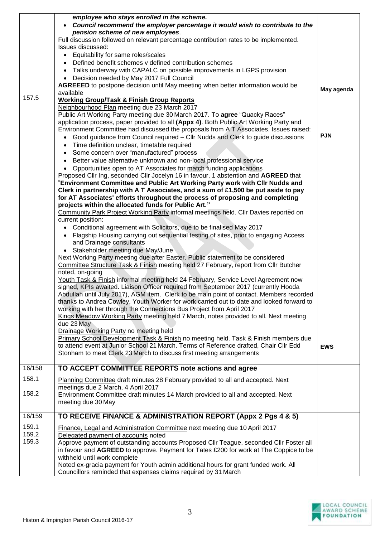|        | employee who stays enrolled in the scheme.<br>Council recommend the employer percentage it would wish to contribute to the<br>pension scheme of new employees.<br>Full discussion followed on relevant percentage contribution rates to be implemented. |            |
|--------|---------------------------------------------------------------------------------------------------------------------------------------------------------------------------------------------------------------------------------------------------------|------------|
|        | Issues discussed:                                                                                                                                                                                                                                       |            |
|        | • Equitability for same roles/scales                                                                                                                                                                                                                    |            |
|        | Defined benefit schemes v defined contribution schemes                                                                                                                                                                                                  |            |
|        | Talks underway with CAPALC on possible improvements in LGPS provision<br>$\bullet$                                                                                                                                                                      |            |
|        | Decision needed by May 2017 Full Council<br>$\bullet$                                                                                                                                                                                                   |            |
|        | <b>AGREEED</b> to postpone decision until May meeting when better information would be<br>available                                                                                                                                                     | May agenda |
| 157.5  | <b>Working Group/Task &amp; Finish Group Reports</b>                                                                                                                                                                                                    |            |
|        | Neighbourhood Plan meeting due 23 March 2017                                                                                                                                                                                                            |            |
|        | Public Art Working Party meeting due 30 March 2017. To agree "Quacky Races"                                                                                                                                                                             |            |
|        | application process, paper provided to all (Appx 4). Both Public Art Working Party and                                                                                                                                                                  |            |
|        | Environment Committee had discussed the proposals from A T Associates. Issues raised:                                                                                                                                                                   |            |
|        | Good guidance from Council required - Cllr Nudds and Clerk to guide discussions                                                                                                                                                                         | <b>PJN</b> |
|        | Time definition unclear, timetable required                                                                                                                                                                                                             |            |
|        | Some concern over "manufactured" process                                                                                                                                                                                                                |            |
|        | Better value alternative unknown and non-local professional service<br>Opportunities open to AT Associates for match funding applications                                                                                                               |            |
|        | $\bullet$<br>Proposed Cllr Ing, seconded Cllr Jocelyn 16 in favour, 1 abstention and AGREED that                                                                                                                                                        |            |
|        | "Environment Committee and Public Art Working Party work with Cllr Nudds and                                                                                                                                                                            |            |
|        | Clerk in partnership with A T Associates, and a sum of £1,500 be put aside to pay                                                                                                                                                                       |            |
|        | for AT Associates' efforts throughout the process of proposing and completing                                                                                                                                                                           |            |
|        | projects within the allocated funds for Public Art."                                                                                                                                                                                                    |            |
|        | Community Park Project Working Party informal meetings held. Cllr Davies reported on                                                                                                                                                                    |            |
|        | current position:                                                                                                                                                                                                                                       |            |
|        | • Conditional agreement with Solicitors, due to be finalised May 2017                                                                                                                                                                                   |            |
|        | Flagship Housing carrying out sequential testing of sites, prior to engaging Access<br>$\bullet$<br>and Drainage consultants                                                                                                                            |            |
|        | • Stakeholder meeting due May/June                                                                                                                                                                                                                      |            |
|        | Next Working Party meeting due after Easter. Public statement to be considered                                                                                                                                                                          |            |
|        | Committee Structure Task & Finish meeting held 27 February, report from Cllr Butcher                                                                                                                                                                    |            |
|        | noted, on-going                                                                                                                                                                                                                                         |            |
|        | Youth Task & Finish informal meeting held 24 February, Service Level Agreement now                                                                                                                                                                      |            |
|        | signed, KPIs awaited. Liaison Officer required from September 2017 (currently Hooda                                                                                                                                                                     |            |
|        | Abdullah until July 2017), AGM item. Clerk to be main point of contact. Members recorded<br>thanks to Andrea Cowley, Youth Worker for work carried out to date and looked forward to                                                                    |            |
|        | working with her through the Connections Bus Project from April 2017                                                                                                                                                                                    |            |
|        | Kings Meadow Working Party meeting held 7 March, notes provided to all. Next meeting                                                                                                                                                                    |            |
|        | due 23 May                                                                                                                                                                                                                                              |            |
|        | Drainage Working Party no meeting held                                                                                                                                                                                                                  |            |
|        | Primary School Development Task & Finish no meeting held. Task & Finish members due                                                                                                                                                                     |            |
|        | to attend event at Junior School 21 March. Terms of Reference drafted, Chair Cllr Edd                                                                                                                                                                   | <b>EWS</b> |
|        | Stonham to meet Clerk 23 March to discuss first meeting arrangements                                                                                                                                                                                    |            |
| 16/158 | TO ACCEPT COMMITTEE REPORTS note actions and agree                                                                                                                                                                                                      |            |
|        |                                                                                                                                                                                                                                                         |            |
| 158.1  | Planning Committee draft minutes 28 February provided to all and accepted. Next                                                                                                                                                                         |            |
| 158.2  | meetings due 2 March, 4 April 2017<br><b>Environment Committee draft minutes 14 March provided to all and accepted. Next</b>                                                                                                                            |            |
|        | meeting due 30 May                                                                                                                                                                                                                                      |            |
|        |                                                                                                                                                                                                                                                         |            |
| 16/159 | TO RECEIVE FINANCE & ADMINISTRATION REPORT (Appx 2 Pgs 4 & 5)                                                                                                                                                                                           |            |
| 159.1  | Finance, Legal and Administration Committee next meeting due 10 April 2017                                                                                                                                                                              |            |
| 159.2  | Delegated payment of accounts noted                                                                                                                                                                                                                     |            |
| 159.3  | Approve payment of outstanding accounts Proposed Cllr Teague, seconded Cllr Foster all                                                                                                                                                                  |            |
|        | in favour and AGREED to approve. Payment for Tates £200 for work at The Coppice to be                                                                                                                                                                   |            |
|        | withheld until work complete                                                                                                                                                                                                                            |            |
|        | Noted ex-gracia payment for Youth admin additional hours for grant funded work. All<br>Councillors reminded that expenses claims required by 31 March                                                                                                   |            |

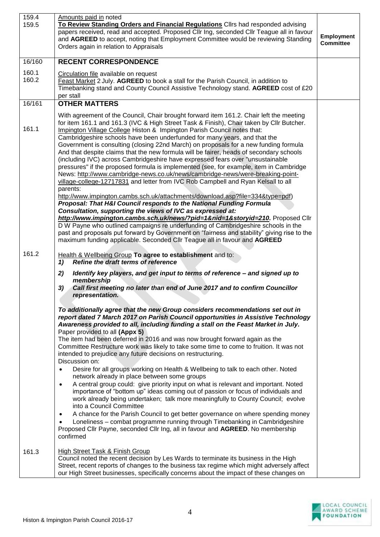| 159.4<br>159.5 | Amounts paid in noted<br>To Review Standing Orders and Financial Regulations Cllrs had responded advising<br>papers received, read and accepted. Proposed Cllr Ing, seconded Cllr Teague all in favour<br>and AGREED to accept, noting that Employment Committee would be reviewing Standing<br>Orders again in relation to Appraisals                                                                                                                                                                                                                                                                                                                                                                                                                                                                                                                                                        | Employment<br><b>Committee</b> |
|----------------|-----------------------------------------------------------------------------------------------------------------------------------------------------------------------------------------------------------------------------------------------------------------------------------------------------------------------------------------------------------------------------------------------------------------------------------------------------------------------------------------------------------------------------------------------------------------------------------------------------------------------------------------------------------------------------------------------------------------------------------------------------------------------------------------------------------------------------------------------------------------------------------------------|--------------------------------|
| 16/160         | <b>RECENT CORRESPONDENCE</b>                                                                                                                                                                                                                                                                                                                                                                                                                                                                                                                                                                                                                                                                                                                                                                                                                                                                  |                                |
| 160.1<br>160.2 | Circulation file available on request<br>Feast Market 2 July. AGREED to book a stall for the Parish Council, in addition to<br>Timebanking stand and County Council Assistive Technology stand. AGREED cost of £20<br>per stall                                                                                                                                                                                                                                                                                                                                                                                                                                                                                                                                                                                                                                                               |                                |
| 16/161         | <b>OTHER MATTERS</b>                                                                                                                                                                                                                                                                                                                                                                                                                                                                                                                                                                                                                                                                                                                                                                                                                                                                          |                                |
| 161.1          | With agreement of the Council, Chair brought forward item 161.2. Chair left the meeting<br>for item 161.1 and 161.3 (IVC & High Street Task & Finish), Chair taken by Cllr Butcher.<br>Impington Village College Histon & Impington Parish Council notes that:<br>Cambridgeshire schools have been underfunded for many years, and that the<br>Government is consulting (closing 22nd March) on proposals for a new funding formula<br>And that despite claims that the new formula will be fairer, heads of secondary schools<br>(including IVC) across Cambridgeshire have expressed fears over "unsustainable<br>pressures" if the proposed formula is implemented (see, for example, item in Cambridge<br>News: http://www.cambridge-news.co.uk/news/cambridge-news/were-breaking-point-<br>village-college-12717831 and letter from IVC Rob Campbell and Ryan Kelsall to all<br>parents: |                                |
|                | http://www.impington.cambs.sch.uk/attachments/download.asp?file=334&type=pdf)<br>Proposal: That H&I Council responds to the National Funding Formula<br>Consultation, supporting the views of IVC as expressed at:<br>http://www.impington.cambs.sch.uk/news/?pid=1&nid=1&storyid=210. Proposed Cllr<br>D W Payne who outlined campaigns re underfunding of Cambridgeshire schools in the<br>past and proposals put forward by Government on "fairness and stability" giving rise to the<br>maximum funding applicable. Seconded Cllr Teague all in favour and AGREED                                                                                                                                                                                                                                                                                                                         |                                |
| 161.2          | Health & Wellbeing Group To agree to establishment and to:<br>Refine the draft terms of reference<br>1)                                                                                                                                                                                                                                                                                                                                                                                                                                                                                                                                                                                                                                                                                                                                                                                       |                                |
|                | 2)<br>Identify key players, and get input to terms of reference - and signed up to<br>membership<br>Call first meeting no later than end of June 2017 and to confirm Councillor<br>3)<br>representation.                                                                                                                                                                                                                                                                                                                                                                                                                                                                                                                                                                                                                                                                                      |                                |
|                | To additionally agree that the new Group considers recommendations set out in<br>report dated 7 March 2017 on Parish Council opportunities in Assistive Technology<br>Awareness provided to all, including funding a stall on the Feast Market in July.<br>Paper provided to all (Appx 5)<br>The item had been deferred in 2016 and was now brought forward again as the<br>Committee Restructure work was likely to take some time to come to fruition. It was not<br>intended to prejudice any future decisions on restructuring.<br>Discussion on:                                                                                                                                                                                                                                                                                                                                         |                                |
|                | Desire for all groups working on Health & Wellbeing to talk to each other. Noted<br>$\bullet$<br>network already in place between some groups<br>A central group could: give priority input on what is relevant and important. Noted<br>$\bullet$<br>importance of "bottom up" ideas coming out of passion or focus of individuals and<br>work already being undertaken; talk more meaningfully to County Council; evolve<br>into a Council Committee<br>A chance for the Parish Council to get better governance on where spending money<br>$\bullet$<br>Loneliness - combat programme running through Timebanking in Cambridgeshire<br>Proposed Cllr Payne, seconded Cllr Ing, all in favour and AGREED. No membership<br>confirmed                                                                                                                                                         |                                |
| 161.3          | High Street Task & Finish Group<br>Council noted the recent decision by Les Wards to terminate its business in the High<br>Street, recent reports of changes to the business tax regime which might adversely affect<br>our High Street businesses, specifically concerns about the impact of these changes on                                                                                                                                                                                                                                                                                                                                                                                                                                                                                                                                                                                |                                |